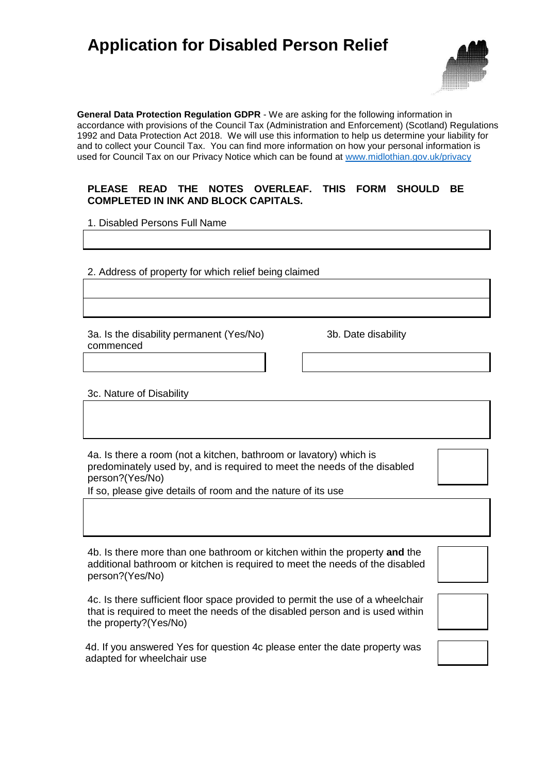## **Application for Disabled Person Relief**



**General Data Protection Regulation GDPR** - We are asking for the following information in accordance with provisions of the Council Tax (Administration and Enforcement) (Scotland) Regulations 1992 and Data Protection Act 2018. We will use this information to help us determine your liability for and to collect your Council Tax. You can find more information on how your personal information is used for Council Tax on our Privacy Notice which can be found at [www.midlothian.gov.uk/privacy](http://www.midlothian.gov.uk/privacy)

## **PLEASE READ THE NOTES OVERLEAF. THIS FORM SHOULD BE COMPLETED IN INK AND BLOCK CAPITALS.**

1. Disabled Persons Full Name

2. Address of property for which relief being claimed

3a. Is the disability permanent (Yes/No) 3b. Date disability commenced

3c. Nature of Disability

4a. Is there a room (not a kitchen, bathroom or lavatory) which is predominately used by, and is required to meet the needs of the disabled person?(Yes/No)

If so, please give details of room and the nature of its use

4b. Is there more than one bathroom or kitchen within the property **and** the additional bathroom or kitchen is required to meet the needs of the disabled person?(Yes/No)

4c. Is there sufficient floor space provided to permit the use of a wheelchair that is required to meet the needs of the disabled person and is used within the property?(Yes/No)

4d. If you answered Yes for question 4c please enter the date property was adapted for wheelchair use